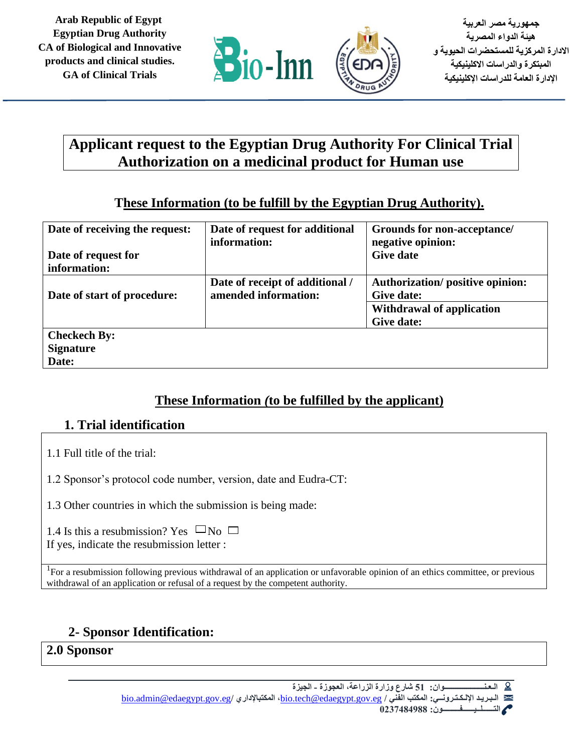

**جمهورية مصر العربية هيئة الدواء المصرية االدارة المركزية للمستحضرات الحيوية و المبتكرة والدراسات االكلينيكية اإلدارة العامة للدراسات اإلكلينيكية** 

# **Applicant request to the Egyptian Drug Authority For Clinical Trial Authorization on a medicinal product for Human use**

# **These Information (to be fulfill by the Egyptian Drug Authority).**

| Date of receiving the request:<br>Date of request for<br>information: | Date of request for additional<br>information:          | Grounds for non-acceptance/<br>negative opinion:<br><b>Give date</b>                                   |
|-----------------------------------------------------------------------|---------------------------------------------------------|--------------------------------------------------------------------------------------------------------|
| Date of start of procedure:                                           | Date of receipt of additional /<br>amended information: | <b>Authorization/positive opinion:</b><br>Give date:<br><b>Withdrawal of application</b><br>Give date: |
| <b>Checkech By:</b><br><b>Signature</b><br>Date:                      |                                                         |                                                                                                        |

## **These Information** *(***to be fulfilled by the applicant)**

# **1. Trial identification**

- 1.1 Full title of the trial:
- 1.2 Sponsor's protocol code number, version, date and Eudra-CT:
- 1.3 Other countries in which the submission is being made:

1.4 Is this a resubmission? Yes  $\Box$ No  $\Box$ If yes, indicate the resubmission letter :

<sup>1</sup>For a resubmission following previous withdrawal of an application or unfavorable opinion of an ethics committee, or previous withdrawal of an application or refusal of a request by the competent authority.

# **2- Sponsor Identification:**

# **2.0 Sponsor**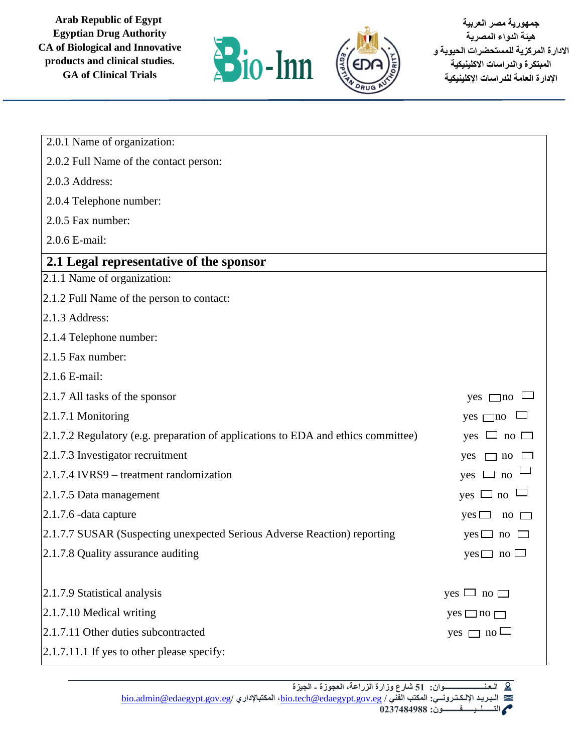

**جمهورية مصر العربية هيئة الدواء المصرية االدارة المركزية للمستحضرات الحيوية و المبتكرة والدراسات االكلينيكية اإلدارة العامة للدراسات اإلكلينيكية** 

| 2.0.1 Name of organization:                                                       |                                                |
|-----------------------------------------------------------------------------------|------------------------------------------------|
| 2.0.2 Full Name of the contact person:                                            |                                                |
| 2.0.3 Address:                                                                    |                                                |
| 2.0.4 Telephone number:                                                           |                                                |
| 2.0.5 Fax number:                                                                 |                                                |
| 2.0.6 E-mail:                                                                     |                                                |
| 2.1 Legal representative of the sponsor                                           |                                                |
| 2.1.1 Name of organization:                                                       |                                                |
| 2.1.2 Full Name of the person to contact:                                         |                                                |
| $2.1.3$ Address:                                                                  |                                                |
| $2.1.4$ Telephone number:                                                         |                                                |
| 2.1.5 Fax number:                                                                 |                                                |
| $2.1.6$ E-mail:                                                                   |                                                |
| $\vert 2.1.7 \text{ All tasks of the sponsor} \vert$                              | $yes \square no$                               |
| 2.1.7.1 Monitoring                                                                | $yes \square no$                               |
| 2.1.7.2 Regulatory (e.g. preparation of applications to EDA and ethics committee) | $\Box$ no $\Box$<br>yes                        |
| $[2.1.7.3]$ Investigator recruitment                                              | yes<br>$\Box$ no                               |
| $2.1.7.4$ IVRS9 – treatment randomization                                         | yes $\Box$ no                                  |
| $ 2.1.7.5$ Data management                                                        | $yes \Box$ no                                  |
| $\vert 2.1.7.6$ -data capture                                                     | $yes \Box$<br>$\overline{p}$ no $\overline{p}$ |
| 2.1.7.7 SUSAR (Suspecting unexpected Serious Adverse Reaction) reporting          | $yes \Box no \Box$                             |
| 2.1.7.8 Quality assurance auditing                                                | $yes \Box no \Box$                             |
|                                                                                   |                                                |
| 2.1.7.9 Statistical analysis                                                      | yes L<br>$\Box$ no $\Box$                      |
| $2.1.7.10$ Medical writing                                                        | $yes \Box no \Box$                             |
| 2.1.7.11 Other duties subcontracted                                               | $\Box$ no $\Box$<br>yes [                      |
| $2.1.7.11.1$ If yes to other please specify:                                      |                                                |

**الـعـنـــــــــــــــــــــوان: 51 شارع وزارة الزراعة، العجوزة - الجيزة** 

[bio.admin@edaegypt.gov.eg](mailto:bio.admin@edaegypt.gov.eg)**/ المكتباإلداري ،**[bio.tech@edaegypt.gov.eg](mailto:bio.tech@edaegypt.gov.eg) **/ الفني المكتب :اإللـكـتـرونــي الـبـريـد التــــــلــيــــــفـــــــــون: 0237484988**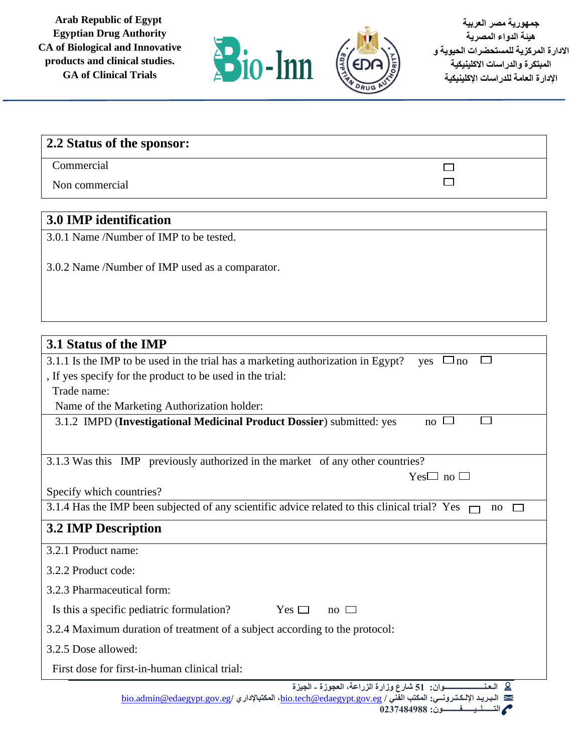

 $\Box$  $\Box$ 

# **2.2 Status of the sponsor:**

Commercial

Non commercial

#### **3.0 IMP identification**

3.0.1 Name /Number of IMP to be tested.

3.0.2 Name /Number of IMP used as a comparator.

# **3.1 Status of the IMP** 3.1.1 Is the IMP to be used in the trial has a marketing authorization in Egypt? yes  $\Box$  no  $\Box$ , If yes specify for the product to be used in the trial: Trade name: Name of the Marketing Authorization holder: 3.1.2 IMPD (**Investigational Medicinal Product Dossier**) submitted: yes no  $\Box$ 3.1.3 Was this IMP previously authorized in the market of any other countries?  $Yes \Box no$ Specify which countries? 3.1.4 Has the IMP been subjected of any scientific advice related to this clinical trial? Yes  $\Box$  no  $\Box$ **3.2 IMP Description** 3.2.1 Product name: 3.2.2 Product code: 3.2.3 Pharmaceutical form: Is this a specific pediatric formulation? Yes  $\Box$  no  $\Box$ 3.2.4 Maximum duration of treatment of a subject according to the protocol: 3.2.5 Dose allowed: First dose for first-in-human clinical trial:**الـعـنـــــــــــــــــــــوان: 51 شارع وزارة الزراعة، العجوزة - الجيزة**  [bio.admin@edaegypt.gov.eg](mailto:bio.admin@edaegypt.gov.eg)**/ المكتباإلداري ،**[bio.tech@edaegypt.gov.eg](mailto:bio.tech@edaegypt.gov.eg) **/ الفني المكتب :اإللـكـتـرونــي الـبـريـد التــــــلــيــــــفـــــــــون: 0237484988**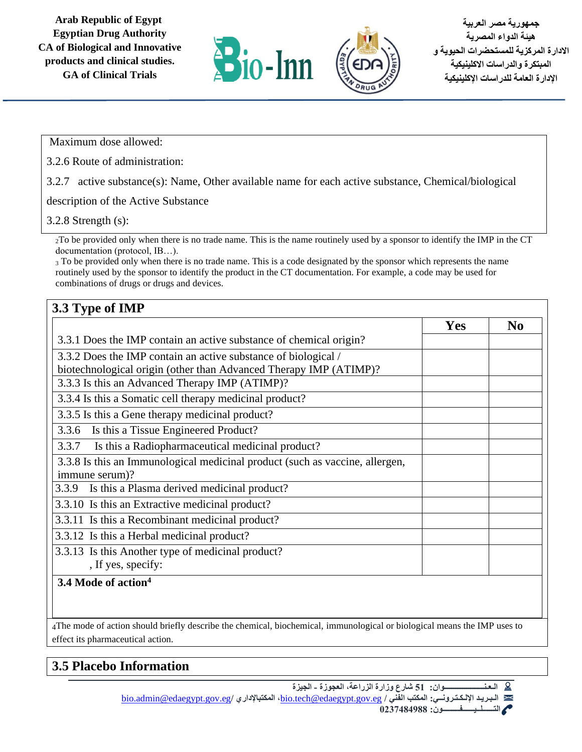

Maximum dose allowed:

3.2.6 Route of administration:

3.2.7 active substance(s): Name, Other available name for each active substance, Chemical/biological

description of the Active Substance

3.2.8 Strength (s):

<sup>2</sup>To be provided only when there is no trade name. This is the name routinely used by a sponsor to identify the IMP in the CT documentation (protocol, IB…).

<sup>3</sup> To be provided only when there is no trade name. This is a code designated by the sponsor which represents the name routinely used by the sponsor to identify the product in the CT documentation. For example, a code may be used for combinations of drugs or drugs and devices.

### **3.3 Type of IMP**

|                                                                              | Yes | N <sub>0</sub> |
|------------------------------------------------------------------------------|-----|----------------|
| 3.3.1 Does the IMP contain an active substance of chemical origin?           |     |                |
| 3.3.2 Does the IMP contain an active substance of biological /               |     |                |
| biotechnological origin (other than Advanced Therapy IMP (ATIMP)?            |     |                |
| 3.3.3 Is this an Advanced Therapy IMP (ATIMP)?                               |     |                |
| 3.3.4 Is this a Somatic cell therapy medicinal product?                      |     |                |
| 3.3.5 Is this a Gene therapy medicinal product?                              |     |                |
| Is this a Tissue Engineered Product?<br>3.3.6                                |     |                |
| Is this a Radiopharmaceutical medicinal product?<br>3.3.7                    |     |                |
| 3.3.8 Is this an Immunological medicinal product (such as vaccine, allergen, |     |                |
| immune serum)?                                                               |     |                |
| Is this a Plasma derived medicinal product?<br>3.3.9                         |     |                |
| 3.3.10 Is this an Extractive medicinal product?                              |     |                |
| 3.3.11 Is this a Recombinant medicinal product?                              |     |                |
| 3.3.12 Is this a Herbal medicinal product?                                   |     |                |
| 3.3.13 Is this Another type of medicinal product?                            |     |                |
| , If yes, specify:                                                           |     |                |
| 3.4 Mode of action <sup>4</sup>                                              |     |                |
|                                                                              |     |                |
|                                                                              |     |                |

4The mode of action should briefly describe the chemical, biochemical, immunological or biological means the IMP uses to effect its pharmaceutical action.

## **3.5 Placebo Information**

**الـعـنـــــــــــــــــــــوان: 51 شارع وزارة الزراعة، العجوزة - الجيزة**  [bio.admin@edaegypt.gov.eg](mailto:bio.admin@edaegypt.gov.eg)**/ المكتباإلداري ،**[bio.tech@edaegypt.gov.eg](mailto:bio.tech@edaegypt.gov.eg) **/ الفني المكتب :اإللـكـتـرونــي الـبـريـد** 

 **التــــــلــيــــــفـــــــــون: 0237484988**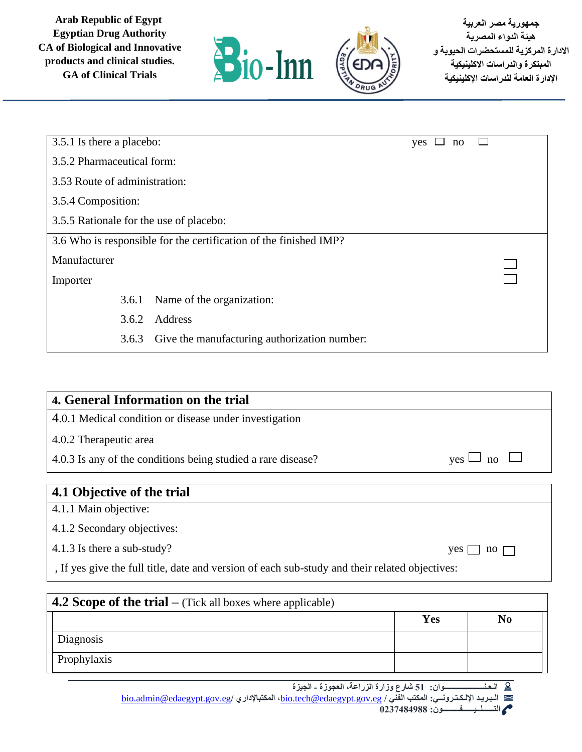

| 3.5.1 Is there a placebo:               |                                                                   | yes | no |  |  |
|-----------------------------------------|-------------------------------------------------------------------|-----|----|--|--|
| 3.5.2 Pharmaceutical form:              |                                                                   |     |    |  |  |
| 3.53 Route of administration:           |                                                                   |     |    |  |  |
| 3.5.4 Composition:                      |                                                                   |     |    |  |  |
| 3.5.5 Rationale for the use of placebo: |                                                                   |     |    |  |  |
|                                         | 3.6 Who is responsible for the certification of the finished IMP? |     |    |  |  |
| Manufacturer                            |                                                                   |     |    |  |  |
| Importer                                |                                                                   |     |    |  |  |
| 3.6.1                                   | Name of the organization:                                         |     |    |  |  |
| 3.6.2                                   | Address                                                           |     |    |  |  |
| 3.6.3                                   | Give the manufacturing authorization number:                      |     |    |  |  |

| 4. General Information on the trial                                                            |                                             |
|------------------------------------------------------------------------------------------------|---------------------------------------------|
| 4.0.1 Medical condition or disease under investigation                                         |                                             |
| 4.0.2 Therapeutic area                                                                         |                                             |
| 4.0.3 Is any of the conditions being studied a rare disease?                                   | $\mathbf{n}$<br>ves                         |
|                                                                                                |                                             |
| 4.1 Objective of the trial                                                                     |                                             |
| 4.1.1 Main objective:                                                                          |                                             |
| 4.1.2 Secondary objectives:                                                                    |                                             |
| 4.1.3 Is there a sub-study?                                                                    | $yes$  <br>$\overline{p}$ no $\overline{p}$ |
| , If yes give the full title, date and version of each sub-study and their related objectives: |                                             |

| <b>4.2 Scope of the trial</b> – (Tick all boxes where applicable) |     |                |  |  |  |
|-------------------------------------------------------------------|-----|----------------|--|--|--|
|                                                                   | Yes | N <sub>0</sub> |  |  |  |
| Diagnosis                                                         |     |                |  |  |  |
| Prophylaxis                                                       |     |                |  |  |  |

**الـعـنـــــــــــــــــــــوان: 51 شارع وزارة الزراعة، العجوزة - الجيزة** 

[bio.admin@edaegypt.gov.eg](mailto:bio.admin@edaegypt.gov.eg)**/ المكتباإلداري ،**[bio.tech@edaegypt.gov.eg](mailto:bio.tech@edaegypt.gov.eg) **/ الفني المكتب :اإللـكـتـرونــي الـبـريـد** 

 **التــــــلــيــــــفـــــــــون: 0237484988**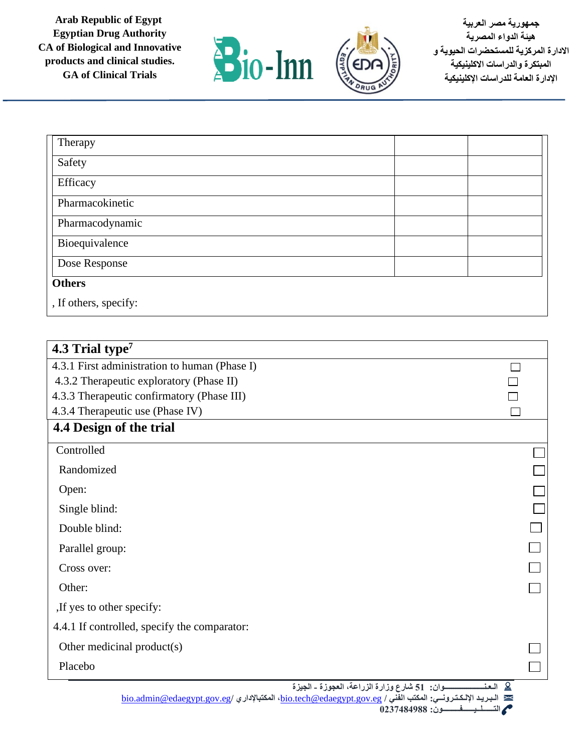



**جمهورية مصر العربية هيئة الدواء المصرية االدارة المركزية للمستحضرات الحيوية و المبتكرة والدراسات االكلينيكية اإلدارة العامة للدراسات اإلكلينيكية** 

| Therapy               |  |
|-----------------------|--|
| Safety                |  |
| Efficacy              |  |
| Pharmacokinetic       |  |
| Pharmacodynamic       |  |
| Bioequivalence        |  |
| Dose Response         |  |
| <b>Others</b>         |  |
| , If others, specify: |  |

| 4.3 Trial type <sup>7</sup>                   |                                                         |  |
|-----------------------------------------------|---------------------------------------------------------|--|
| 4.3.1 First administration to human (Phase I) |                                                         |  |
| 4.3.2 Therapeutic exploratory (Phase II)      |                                                         |  |
| 4.3.3 Therapeutic confirmatory (Phase III)    |                                                         |  |
| 4.3.4 Therapeutic use (Phase IV)              |                                                         |  |
| 4.4 Design of the trial                       |                                                         |  |
| Controlled                                    |                                                         |  |
| Randomized                                    |                                                         |  |
| Open:                                         |                                                         |  |
| Single blind:                                 |                                                         |  |
| Double blind:                                 |                                                         |  |
| Parallel group:                               |                                                         |  |
| Cross over:                                   |                                                         |  |
| Other:                                        |                                                         |  |
| If yes to other specify:                      |                                                         |  |
| 4.4.1 If controlled, specify the comparator:  |                                                         |  |
| Other medicinal product(s)                    |                                                         |  |
| Placebo                                       |                                                         |  |
|                                               | 9 العذ<br>ـوان: 51 شارع وزارة الزراعة، العجوزة ـ الجيزة |  |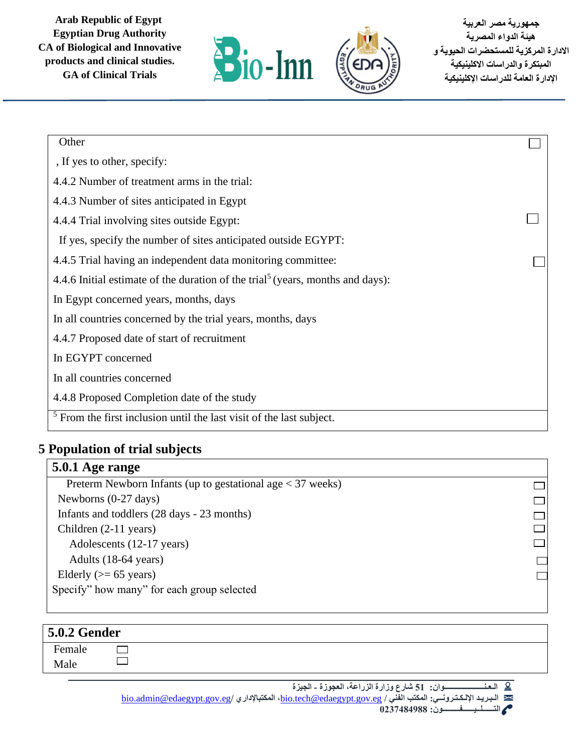

**جمهورية مصر العربية هيئة الدواء المصرية االدارة المركزية للمستحضرات الحيوية و المبتكرة والدراسات االكلينيكية اإلدارة العامة للدراسات اإلكلينيكية** 

> $\Box$  $\Box$  $\Box$  $\Box$  $\Box$

| Other                                                                                      |  |
|--------------------------------------------------------------------------------------------|--|
| , If yes to other, specify:                                                                |  |
| 4.4.2 Number of treatment arms in the trial:                                               |  |
| 4.4.3 Number of sites anticipated in Egypt                                                 |  |
| 4.4.4 Trial involving sites outside Egypt:                                                 |  |
| If yes, specify the number of sites anticipated outside EGYPT:                             |  |
| 4.4.5 Trial having an independent data monitoring committee:                               |  |
| 4.4.6 Initial estimate of the duration of the trial <sup>5</sup> (years, months and days): |  |
| In Egypt concerned years, months, days                                                     |  |
| In all countries concerned by the trial years, months, days                                |  |
| 4.4.7 Proposed date of start of recruitment                                                |  |
| In EGYPT concerned                                                                         |  |
| In all countries concerned                                                                 |  |
| 4.4.8 Proposed Completion date of the study                                                |  |
| $5$ From the first inclusion until the last visit of the last subject.                     |  |

#### **5 Population of trial subjects**

### **5.0.1 Age range**

 Preterm Newborn Infants (up to gestational age < 37 weeks) Newborns (0-27 days) Infants and toddlers (28 days - 23 months) Children (2-11 years) Adolescents (12-17 years) Adults (18-64 years) Elderly ( $>= 65$  years) Specify" how many" for each group selected

| <b>5.0.2 Gender</b> |  |  |  |  |  |  |  |
|---------------------|--|--|--|--|--|--|--|
| Female              |  |  |  |  |  |  |  |
| Male                |  |  |  |  |  |  |  |
|                     |  |  |  |  |  |  |  |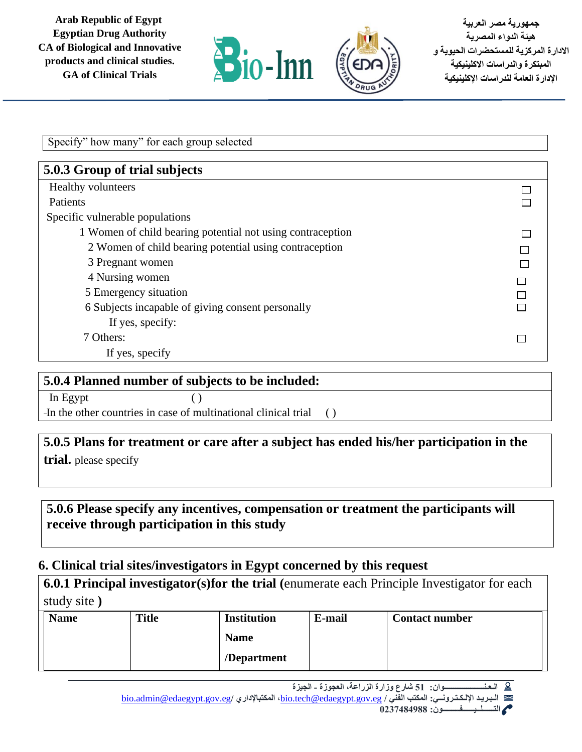

 $\Box$  $\Box$ 

 $\Box$  $\Box$  $\Box$  $\Box$  $\Box$  $\Box$ 

 $\Box$ 

Specify" how many" for each group selected **5.0.3 Group of trial subjects** Healthy volunteers Patients Specific vulnerable populations 1 Women of child bearing potential not using contraception 2 Women of child bearing potential using contraception 3 Pregnant women 4 Nursing women 5 Emergency situation 6 Subjects incapable of giving consent personally If yes, specify: 7 Others: If yes, specify

#### **5.0.4 Planned number of subjects to be included:**

 $\ln$  Egypt ( ) In the other countries in case of multinational clinical trial ()

**5.0.5 Plans for treatment or care after a subject has ended his/her participation in the trial.** please specify

**5.0.6 Please specify any incentives, compensation or treatment the participants will receive through participation in this study**

### **6. Clinical trial sites/investigators in Egypt concerned by this request**

| <b>6.0.1 Principal investigator(s) for the trial (enumerate each Principle Investigator for each</b> |  |
|------------------------------------------------------------------------------------------------------|--|
| study site)                                                                                          |  |

| <b>Name</b> | <b>Title</b> | <b>Institution</b> | E-mail | <b>Contact number</b> |
|-------------|--------------|--------------------|--------|-----------------------|
|             |              | <b>Name</b>        |        |                       |
|             |              | /Department        |        |                       |

**الـعـنـــــــــــــــــــــوان: 51 شارع وزارة الزراعة، العجوزة - الجيزة**  -9

[bio.admin@edaegypt.gov.eg](mailto:bio.admin@edaegypt.gov.eg)**/ المكتباإلداري ،**[bio.tech@edaegypt.gov.eg](mailto:bio.tech@edaegypt.gov.eg) **/ الفني المكتب :اإللـكـتـرونــي الـبـريـد** 

 **التــــــلــيــــــفـــــــــون: 0237484988**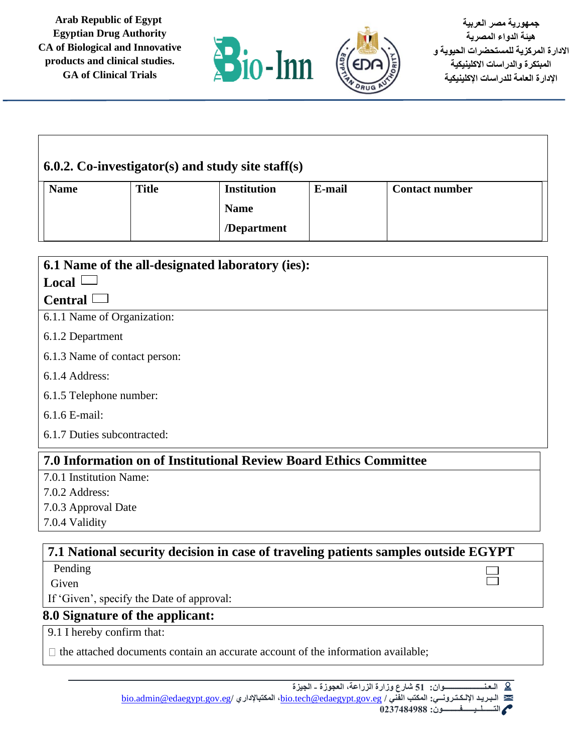



| 6.0.2. Co-investigator(s) and study site staff(s) |              |                    |        |                       |  |  |
|---------------------------------------------------|--------------|--------------------|--------|-----------------------|--|--|
| <b>Name</b>                                       | <b>Title</b> | <b>Institution</b> | E-mail | <b>Contact number</b> |  |  |
|                                                   |              | <b>Name</b>        |        |                       |  |  |
|                                                   |              | /Department        |        |                       |  |  |

| 6.1 Name of the all-designated laboratory (ies): |  |  |  |  |
|--------------------------------------------------|--|--|--|--|
| $Local$ $\Box$                                   |  |  |  |  |
| Central                                          |  |  |  |  |
| 6.1.1 Name of Organization:                      |  |  |  |  |
| 6.1.2 Department                                 |  |  |  |  |
| 6.1.3 Name of contact person:                    |  |  |  |  |
| 6.1.4 Address:                                   |  |  |  |  |
| 6.1.5 Telephone number:                          |  |  |  |  |
| 6.1.6 E-mail:                                    |  |  |  |  |
| 6.1.7 Duties subcontracted:                      |  |  |  |  |

### **7.0 Information on of Institutional Review Board Ethics Committee**

7.0.1 Institution Name:

7.0.2 Address:

7.0.3 Approval Date

7.0.4 Validity

## **7.1 National security decision in case of traveling patients samples outside EGYPT**

Pending

Given

If 'Given', specify the Date of approval:

### **8.0 Signature of the applicant:**

9.1 I hereby confirm that:

 $\Box$  the attached documents contain an accurate account of the information available;